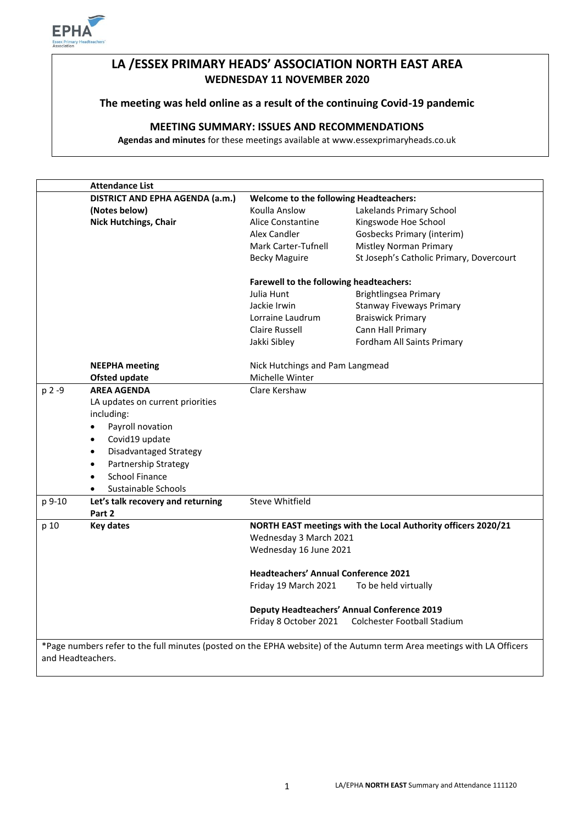

# **LA /ESSEX PRIMARY HEADS' ASSOCIATION NORTH EAST AREA WEDNESDAY 11 NOVEMBER 2020**

### **The meeting was held online as a result of the continuing Covid-19 pandemic**

# **MEETING SUMMARY: ISSUES AND RECOMMENDATIONS**

**Agendas and minutes** for these meetings available at www.essexprimaryheads.co.uk

|        | <b>Attendance List</b>              |                                                                                         |                                          |
|--------|-------------------------------------|-----------------------------------------------------------------------------------------|------------------------------------------|
|        | DISTRICT AND EPHA AGENDA (a.m.)     | <b>Welcome to the following Headteachers:</b>                                           |                                          |
|        | (Notes below)                       | Koulla Anslow                                                                           | Lakelands Primary School                 |
|        | <b>Nick Hutchings, Chair</b>        | <b>Alice Constantine</b>                                                                | Kingswode Hoe School                     |
|        |                                     | Alex Candler                                                                            | <b>Gosbecks Primary (interim)</b>        |
|        |                                     | Mark Carter-Tufnell                                                                     | <b>Mistley Norman Primary</b>            |
|        |                                     | <b>Becky Maguire</b>                                                                    | St Joseph's Catholic Primary, Dovercourt |
|        |                                     | <b>Farewell to the following headteachers:</b>                                          |                                          |
|        |                                     | Julia Hunt                                                                              | Brightlingsea Primary                    |
|        |                                     | Jackie Irwin                                                                            | <b>Stanway Fiveways Primary</b>          |
|        |                                     | Lorraine Laudrum                                                                        | <b>Braiswick Primary</b>                 |
|        |                                     | Claire Russell                                                                          | Cann Hall Primary                        |
|        |                                     | Jakki Sibley                                                                            | Fordham All Saints Primary               |
|        | <b>NEEPHA</b> meeting               | Nick Hutchings and Pam Langmead                                                         |                                          |
|        | <b>Ofsted update</b>                | Michelle Winter                                                                         |                                          |
| p 2 -9 | <b>AREA AGENDA</b>                  | Clare Kershaw                                                                           |                                          |
|        | LA updates on current priorities    |                                                                                         |                                          |
|        | including:                          |                                                                                         |                                          |
|        | Payroll novation<br>$\bullet$       |                                                                                         |                                          |
|        | Covid19 update<br>$\bullet$         |                                                                                         |                                          |
|        | Disadvantaged Strategy<br>$\bullet$ |                                                                                         |                                          |
|        | Partnership Strategy<br>$\bullet$   |                                                                                         |                                          |
|        | <b>School Finance</b><br>$\bullet$  |                                                                                         |                                          |
|        | Sustainable Schools                 |                                                                                         |                                          |
| p 9-10 | Let's talk recovery and returning   | Steve Whitfield                                                                         |                                          |
|        | Part 2                              |                                                                                         |                                          |
| p 10   | <b>Key dates</b>                    | NORTH EAST meetings with the Local Authority officers 2020/21<br>Wednesday 3 March 2021 |                                          |
|        |                                     |                                                                                         |                                          |
|        |                                     | Wednesday 16 June 2021                                                                  |                                          |
|        |                                     | <b>Headteachers' Annual Conference 2021</b>                                             |                                          |
|        |                                     | Friday 19 March 2021                                                                    | To be held virtually                     |
|        |                                     | <b>Deputy Headteachers' Annual Conference 2019</b>                                      |                                          |
|        |                                     | Friday 8 October 2021                                                                   | Colchester Football Stadium              |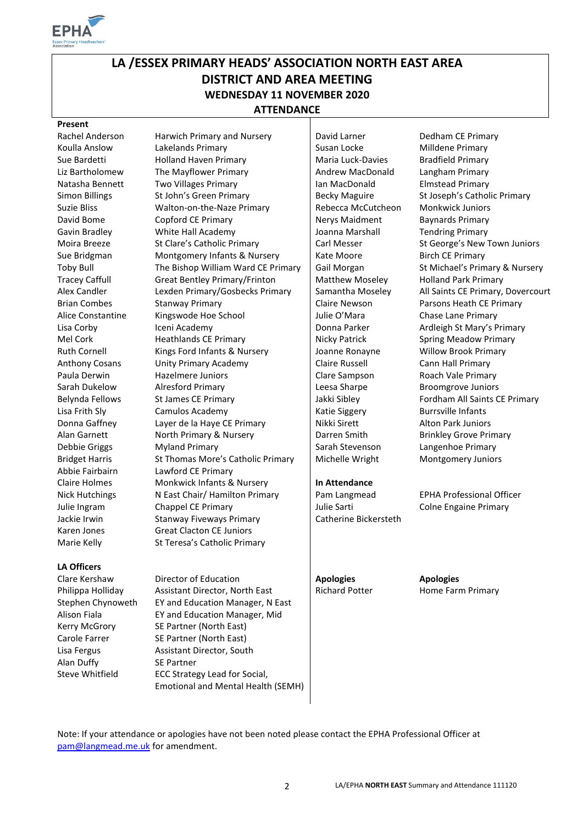

# **LA /ESSEX PRIMARY HEADS' ASSOCIATION NORTH EAST AREA DISTRICT AND AREA MEETING WEDNESDAY 11 NOVEMBER 2020 ATTENDANCE**

#### **Present**

Abbie Fairbairn Lawford CE Primary Claire Holmes Monkwick Infants & Nursery **In Attendance** 

#### **LA Officers**

Alan Duffy SE Partner

Julie Ingram Chappel CE Primary **Julie Sarti** Julie Sarti Colne Engaine Primary Jackie Irwin **Stanway Fiveways Primary** Catherine Bickersteth Karen Jones Great Clacton CE Juniors Marie Kelly St Teresa's Catholic Primary Clare Kershaw **Director of Education Apologies**<br> **Philippa Hollidav Assistant Director. North East Algorith Richard Potter Algorithme Farity** Philippa Holliday Assistant Director, North East Richard Potter Home Farm Primary Stephen Chynoweth EY and Education Manager, N East Alison Fiala EY and Education Manager, Mid Kerry McGrory SE Partner (North East) Carole Farrer SE Partner (North East) Lisa Fergus **Assistant Director, South** Steve Whitfield ECC Strategy Lead for Social. Emotional and Mental Health (SEMH)

Rachel Anderson Harwich Primary and Nursery | David Larner Dedham CE Primary Koulla Anslow Lakelands Primary **Susan Locke** Milldene Primary Nulla Anslow Sue Bardetti Holland Haven Primary Maria Luck-Davies Bradfield Primary Liz Bartholomew The Mayflower Primary **Andrew MacDonald** Langham Primary Natasha Bennett Two Villages Primary **Ian MacDonald** Elmstead Primary Suzie Bliss Walton-on-the-Naze Primary Rebecca McCutcheon Monkwick Juniors David Bome Copford CE Primary Nerys Maidment Baynards Primary Gavin Bradley **Mite Hall Academy** Joanna Marshall **Tendring Primary** Sue Bridgman Montgomery Infants & Nursery Heate Moore Birch CE Primary Alice Constantine Kingswode Hoe School | Julie O'Mara Chase Lane Primary Anthony Cosans Unity Primary Academy Claire Russell Cann Hall Primary<br>Paula Derwin Clare Hazelmere Juniors Clare Sampson Roach Vale Primary Hazelmere Juniors **Paula Lerach Clare Sampson** Roach Vale Primary Sarah Dukelow Alresford Primary Leesa Sharpe Broomgrove Juniors Lisa Frith Sly Camulos Academy Ratie Siggery Burrsville Infants Donna Gaffney Layer de la Haye CE Primary Nikki Sirett Alton Park Juniors Debbie Griggs Myland Primary Number Stevenson Langenhoe Primary Bridget Harris St Thomas More's Catholic Primary Nichelle Wright Montgomery Juniors

Simon Billings St John's Green Primary Becky Maguire St Joseph's Catholic Primary Moira Breeze St Clare's Catholic Primary Carl Messer St George's New Town Juniors Toby Bull The Bishop William Ward CE Primary | Gail Morgan St Michael's Primary & Nursery Tracey Caffull Great Bentley Primary/Frinton | Matthew Moseley Holland Park Primary Alex Candler Lexden Primary/Gosbecks Primary | Samantha Moseley All Saints CE Primary, Dovercourt Brian Combes Stanway Primary Claire Newson Parsons Heath CE Primary Lisa Corby **Iceni Academy Icentificate Corporation** Donna Parker **Ardleigh St Mary's Primary** Mel Cork **Heathlands CE Primary** Nicky Patrick Spring Meadow Primary Neadow Primary Ruth Cornell Kings Ford Infants & Nursery | Joanne Ronayne Willow Brook Primary Belynda Fellows St James CE Primary Jakki Sibley Fordham All Saints CE Primary Alan Garnett **North Primary & Nursery Darren Smith Brinkley Grove Primary Area** Darren Smith Brinkley Grove Primary

Nick Hutchings N East Chair/ Hamilton Primary Pam Langmead EPHA Professional Officer

Note: If your attendance or apologies have not been noted please contact the EPHA Professional Officer at [pam@langmead.me.uk](mailto:pam@langmead.me.uk) for amendment.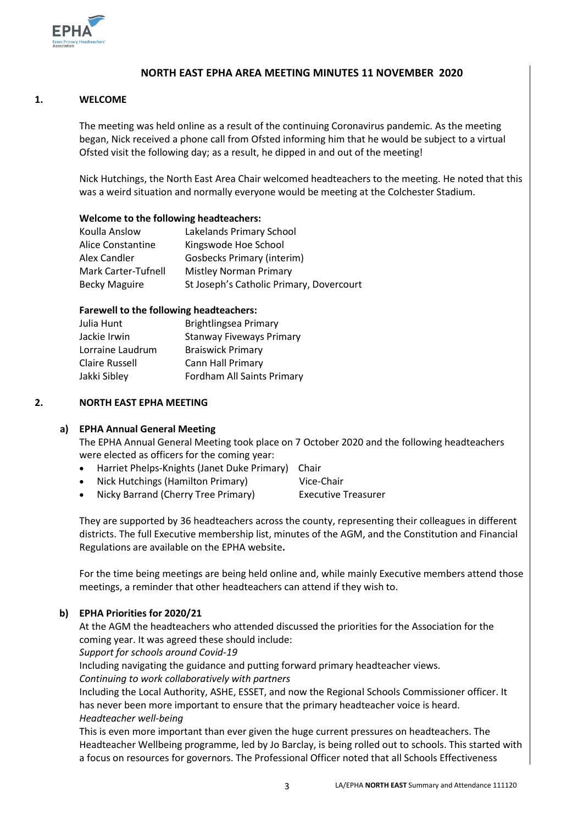

# **NORTH EAST EPHA AREA MEETING MINUTES 11 NOVEMBER 2020**

#### **1. WELCOME**

The meeting was held online as a result of the continuing Coronavirus pandemic. As the meeting began, Nick received a phone call from Ofsted informing him that he would be subject to a virtual Ofsted visit the following day; as a result, he dipped in and out of the meeting!

Nick Hutchings, the North East Area Chair welcomed headteachers to the meeting. He noted that this was a weird situation and normally everyone would be meeting at the Colchester Stadium.

#### **Welcome to the following headteachers:**

| Koulla Anslow        | Lakelands Primary School                 |
|----------------------|------------------------------------------|
| Alice Constantine    | Kingswode Hoe School                     |
| Alex Candler         | <b>Gosbecks Primary (interim)</b>        |
| Mark Carter-Tufnell  | Mistley Norman Primary                   |
| <b>Becky Maguire</b> | St Joseph's Catholic Primary, Dovercourt |

#### **Farewell to the following headteachers:**

| Julia Hunt       | Brightlingsea Primary           |  |
|------------------|---------------------------------|--|
| Jackie Irwin     | <b>Stanway Fiveways Primary</b> |  |
| Lorraine Laudrum | <b>Braiswick Primary</b>        |  |
| Claire Russell   | Cann Hall Primary               |  |
| Jakki Sibley     | Fordham All Saints Primary      |  |
|                  |                                 |  |

#### **2. NORTH EAST EPHA MEETING**

#### **a) EPHA Annual General Meeting**

The EPHA Annual General Meeting took place on 7 October 2020 and the following headteachers were elected as officers for the coming year:

- Harriet Phelps-Knights (Janet Duke Primary) Chair
- Nick Hutchings (Hamilton Primary) Vice-Chair
- Nicky Barrand (Cherry Tree Primary) Executive Treasurer

They are supported by 36 headteachers across the county, representing their colleagues in different districts. The full Executive membership list, minutes of the AGM, and the Constitution and Financial Regulations are available on the EPHA website**.** 

For the time being meetings are being held online and, while mainly Executive members attend those meetings, a reminder that other headteachers can attend if they wish to.

# **b) EPHA Priorities for 2020/21**

At the AGM the headteachers who attended discussed the priorities for the Association for the coming year. It was agreed these should include:

*Support for schools around Covid-19*

Including navigating the guidance and putting forward primary headteacher views.

*Continuing to work collaboratively with partners*

Including the Local Authority, ASHE, ESSET, and now the Regional Schools Commissioner officer. It has never been more important to ensure that the primary headteacher voice is heard. *Headteacher well-being* 

This is even more important than ever given the huge current pressures on headteachers. The Headteacher Wellbeing programme, led by Jo Barclay, is being rolled out to schools. This started with a focus on resources for governors. The Professional Officer noted that all Schools Effectiveness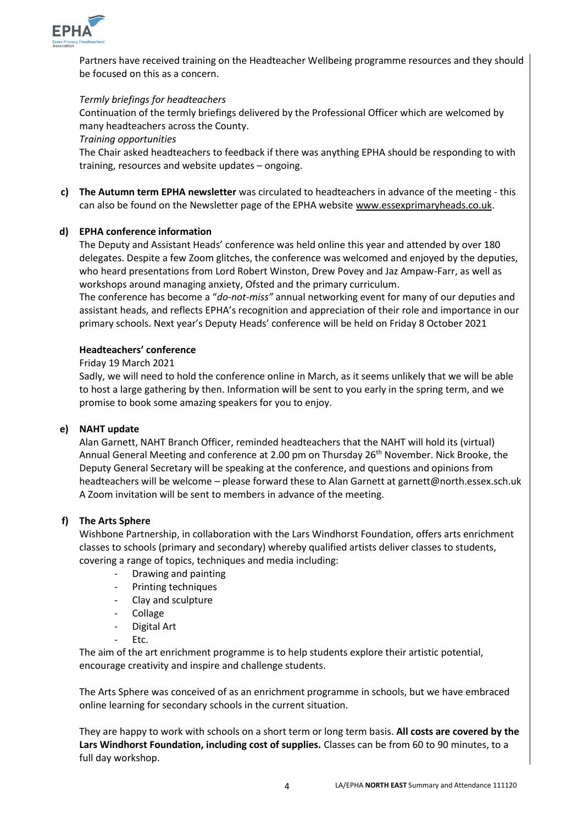

Partners have received training on the Headteacher Wellbeing programme resources and they should be focused on this as a concern.

#### *Termly briefings for headteachers*

Continuation of the termly briefings delivered by the Professional Officer which are welcomed by many headteachers across the County.

#### *Training opportunities*

The Chair asked headteachers to feedback if there was anything EPHA should be responding to with training, resources and website updates – ongoing.

**c) The Autumn term EPHA newsletter** was circulated to headteachers in advance of the meeting - this can also be found on the Newsletter page of the EPHA website [www.essexprimaryheads.co.uk.](http://www.essexprimaryheads.co.uk/)

#### **d) EPHA conference information**

The Deputy and Assistant Heads' conference was held online this year and attended by over 180 delegates. Despite a few Zoom glitches, the conference was welcomed and enjoyed by the deputies, who heard presentations from Lord Robert Winston, Drew Povey and Jaz Ampaw-Farr, as well as workshops around managing anxiety, Ofsted and the primary curriculum.

The conference has become a "*do-not-miss"* annual networking event for many of our deputies and assistant heads, and reflects EPHA's recognition and appreciation of their role and importance in our primary schools. Next year's Deputy Heads' conference will be held on Friday 8 October 2021

#### **Headteachers' conference**

#### Friday 19 March 2021

Sadly, we will need to hold the conference online in March, as it seems unlikely that we will be able to host a large gathering by then. Information will be sent to you early in the spring term, and we promise to book some amazing speakers for you to enjoy.

#### **e) NAHT update**

Alan Garnett, NAHT Branch Officer, reminded headteachers that the NAHT will hold its (virtual) Annual General Meeting and conference at 2.00 pm on Thursday 26<sup>th</sup> November. Nick Brooke, the Deputy General Secretary will be speaking at the conference, and questions and opinions from headteachers will be welcome – please forward these to Alan Garnett at garnett@north.essex.sch.uk A Zoom invitation will be sent to members in advance of the meeting.

#### **f) The Arts Sphere**

Wishbone Partnership, in collaboration with the Lars Windhorst Foundation, offers arts enrichment classes to schools (primary and secondary) whereby qualified artists deliver classes to students, covering a range of topics, techniques and media including:

- Drawing and painting
- Printing techniques
- Clay and sculpture
- **Collage**
- Digital Art
- Ftc.

The aim of the art enrichment programme is to help students explore their artistic potential, encourage creativity and inspire and challenge students.

The Arts Sphere was conceived of as an enrichment programme in schools, but we have embraced online learning for secondary schools in the current situation.

They are happy to work with schools on a short term or long term basis. **All costs are covered by the Lars Windhorst Foundation, including cost of supplies.** Classes can be from 60 to 90 minutes, to a full day workshop.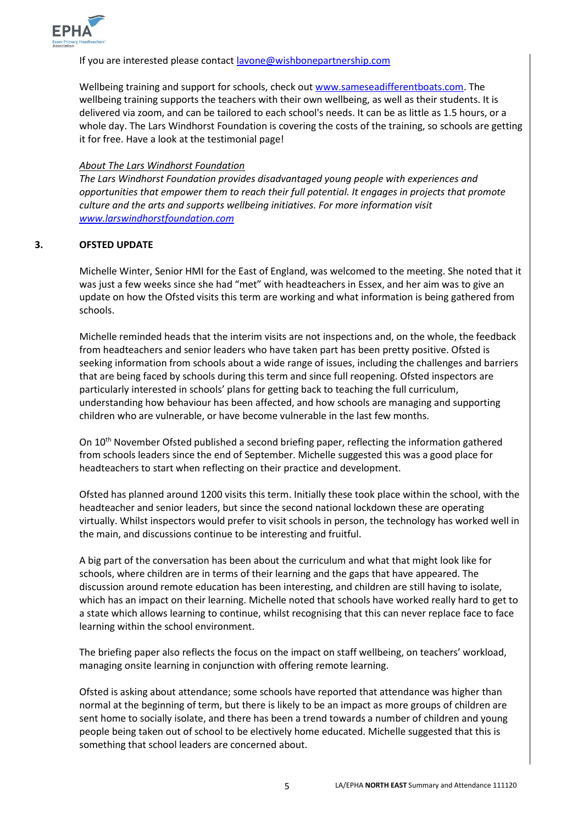

#### If you are interested please contac[t lavone@wishbonepartnership.com](mailto:lavone@wishbonepartnership.com)

Wellbeing training and support for schools, check out [www.sameseadifferentboats.com.](http://www.sameseadifferentboats.com/) The wellbeing training supports the teachers with their own wellbeing, as well as their students. It is delivered via zoom, and can be tailored to each school's needs. It can be as little as 1.5 hours, or a whole day. The Lars Windhorst Foundation is covering the costs of the training, so schools are getting it for free. Have a look at the testimonial page!

#### *About The Lars Windhorst Foundation*

*The Lars Windhorst Foundation provides disadvantaged young people with experiences and opportunities that empower them to reach their full potential. It engages in projects that promote culture and the arts and supports wellbeing initiatives. For more information visit [www.larswindhorstfoundation.com](http://www.larswindhorstfoundation.com/)*

#### **3. OFSTED UPDATE**

Michelle Winter, Senior HMI for the East of England, was welcomed to the meeting. She noted that it was just a few weeks since she had "met" with headteachers in Essex, and her aim was to give an update on how the Ofsted visits this term are working and what information is being gathered from schools.

Michelle reminded heads that the interim visits are not inspections and, on the whole, the feedback from headteachers and senior leaders who have taken part has been pretty positive. Ofsted is seeking information from schools about a wide range of issues, including the challenges and barriers that are being faced by schools during this term and since full reopening. Ofsted inspectors are particularly interested in schools' plans for getting back to teaching the full curriculum, understanding how behaviour has been affected, and how schools are managing and supporting children who are vulnerable, or have become vulnerable in the last few months.

On 10<sup>th</sup> November Ofsted published a second briefing paper, reflecting the information gathered from schools leaders since the end of September. Michelle suggested this was a good place for headteachers to start when reflecting on their practice and development.

Ofsted has planned around 1200 visits this term. Initially these took place within the school, with the headteacher and senior leaders, but since the second national lockdown these are operating virtually. Whilst inspectors would prefer to visit schools in person, the technology has worked well in the main, and discussions continue to be interesting and fruitful.

A big part of the conversation has been about the curriculum and what that might look like for schools, where children are in terms of their learning and the gaps that have appeared. The discussion around remote education has been interesting, and children are still having to isolate, which has an impact on their learning. Michelle noted that schools have worked really hard to get to a state which allows learning to continue, whilst recognising that this can never replace face to face learning within the school environment.

The briefing paper also reflects the focus on the impact on staff wellbeing, on teachers' workload, managing onsite learning in conjunction with offering remote learning.

Ofsted is asking about attendance; some schools have reported that attendance was higher than normal at the beginning of term, but there is likely to be an impact as more groups of children are sent home to socially isolate, and there has been a trend towards a number of children and young people being taken out of school to be electively home educated. Michelle suggested that this is something that school leaders are concerned about.